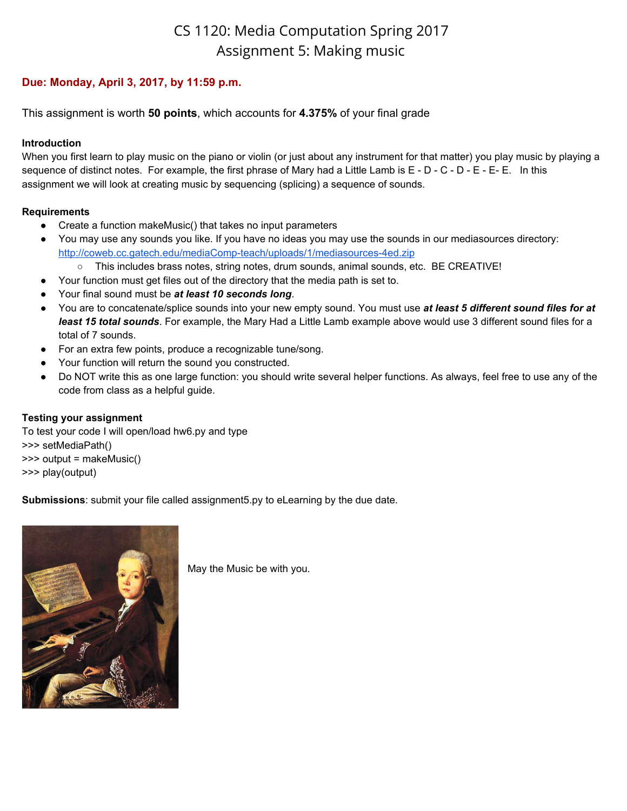# CS 1120: Media Computation Spring 2017 Assignment 5: Making music

## **Due: Monday, April 3, 2017, by 11:59 p.m.**

This assignment is worth **50 points**, which accounts for **4.375%** of your final grade

#### **Introduction**

When you first learn to play music on the piano or violin (or just about any instrument for that matter) you play music by playing a sequence of distinct notes. For example, the first phrase of Mary had a Little Lamb is E - D - C - D - E - E- E. In this assignment we will look at creating music by sequencing (splicing) a sequence of sounds.

#### **Requirements**

- Create a function makeMusic() that takes no input parameters
- You may use any sounds you like. If you have no ideas you may use the sounds in our mediasources directory: <http://coweb.cc.gatech.edu/mediaComp-teach/uploads/1/mediasources-4ed.zip>
	- This includes brass notes, string notes, drum sounds, animal sounds, etc. BE CREATIVE!
- Your function must get files out of the directory that the media path is set to.
- Your final sound must be *at least 10 seconds long*.
- You are to concatenate/splice sounds into your new empty sound. You must use *at least 5 different sound files for at least 15 total sounds*. For example, the Mary Had a Little Lamb example above would use 3 different sound files for a total of 7 sounds.
- For an extra few points, produce a recognizable tune/song.
- Your function will return the sound you constructed.
- Do NOT write this as one large function: you should write several helper functions. As always, feel free to use any of the code from class as a helpful guide.

### **Testing your assignment**

To test your code I will open/load hw6.py and type >>> setMediaPath() >>> output = makeMusic() >>> play(output)

**Submissions**: submit your file called assignment5.py to eLearning by the due date.



May the Music be with you.